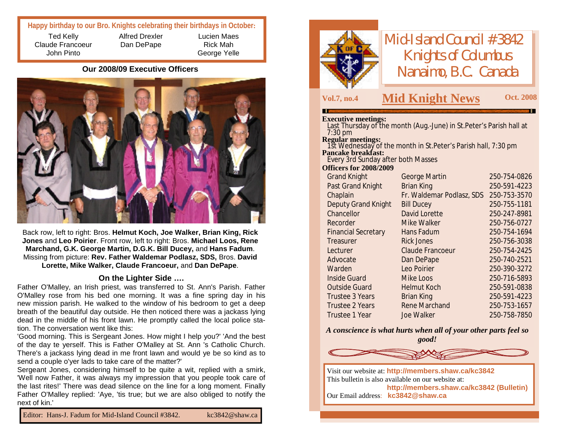## **Happy birthday to our Bro. Knights celebrating their birthdays in October:**

Ted Kelly Claude Francoeur John Pinto

Alfred Drexler Dan DePape

Lucien Maes Rick Mah George Yelle

#### **Our 2008/09 Executive Officers**



Back row, left to right: Bros. **Helmut Koch, Joe Walker, Brian King, Rick Jones** and **Leo Poirier**. Front row, left to right: Bros. **Michael Loos, Rene Marchand, G.K. George Martin, D.G.K. Bill Ducey,** and **Hans Fadum**. Missing from picture: **Rev. Father Waldemar Podlasz, SDS,** Bros. **David Lorette, Mike Walker, Claude Francoeur,** and **Dan DePape**.

#### **On the Lighter Side ….**

Father O'Malley, an Irish priest, was transferred to St. Ann's Parish. Father O'Malley rose from his bed one morning. It was a fine spring day in his new mission parish. He walked to the window of his bedroom to get a deep breath of the beautiful day outside. He then noticed there was a jackass lying dead in the middle of his front lawn. He promptly called the local police station. The conversation went like this:

'Good morning. This is Sergeant Jones. How might I help you?' 'And the best of the day te yerself. This is Father O'Malley at St. Ann 's Catholic Church. There's a jackass lying dead in me front lawn and would ye be so kind as to send a couple o'yer lads to take care of the matter?'

Sergeant Jones, considering himself to be quite a wit, replied with a smirk, 'Well now Father, it was always my impression that you people took care of the last rites!' There was dead silence on the line for a long moment. Finally Father O'Malley replied: 'Aye, 'tis true; but we are also obliged to notify the next of kin.'

Editor: Hans-J. Fadum for Mid-Island Council #3842. [kc3842@shaw.ca](mailto:kc3842@shaw.ca)



*Mid-Island Council #3842 Knights of Columbus Nanaimo, B.C. Canada*

## **Vol.7, no.4 M Oct. <sup>2008</sup> id Knight News**

#### **Executive meetings:**

Last Thursday of the month (Aug.-June) in St.Peter's Parish hall at 7:30 pm

**Regular meetings:**

1st Wednesday of the month in St.Peter's Parish hall, 7:30 pm **Pancake breakfast:** Every 3rd Sunday after both Masses

#### **Officers for 2008/2009**

| <b>Grand Knight</b>        | <b>George Martin</b>      | 250-754-0826 |
|----------------------------|---------------------------|--------------|
| Past Grand Knight          | <b>Brian King</b>         | 250-591-4223 |
| Chaplain                   | Fr. Waldemar Podlasz, SDS | 250-753-3570 |
| <b>Deputy Grand Knight</b> | <b>Bill Ducey</b>         | 250-755-1181 |
| Chancellor                 | David Lorette             | 250-247-8981 |
| Recorder                   | Mike Walker               | 250-756-0727 |
| <b>Financial Secretary</b> | Hans Fadum                | 250-754-1694 |
| Treasurer                  | <b>Rick Jones</b>         | 250-756-3038 |
| Lecturer                   | Claude Francoeur          | 250-754-2425 |
| Advocate                   | Dan DePape                | 250-740-2521 |
| Warden                     | Leo Poirier               | 250-390-3272 |
| Inside Guard               | Mike Loos                 | 250-716-5893 |
| <b>Outside Guard</b>       | <b>Helmut Koch</b>        | 250-591-0838 |
| Trustee 3 Years            | <b>Brian King</b>         | 250-591-4223 |
| Trustee 2 Years            | Rene Marchand             | 250-753-1657 |
| Trustee 1 Year             | Joe Walker                | 250-758-7850 |

*A conscience is what hurts when all of your other parts feel so good!*



Visit our website at: **<http://members.shaw.ca/kc3842>** This bulletin is also available on our website at: **<http://members.shaw.ca/kc3842> (Bulletin)** Our Email address: **[kc3842@shaw.ca](mailto:kc3842@shaw.ca)**